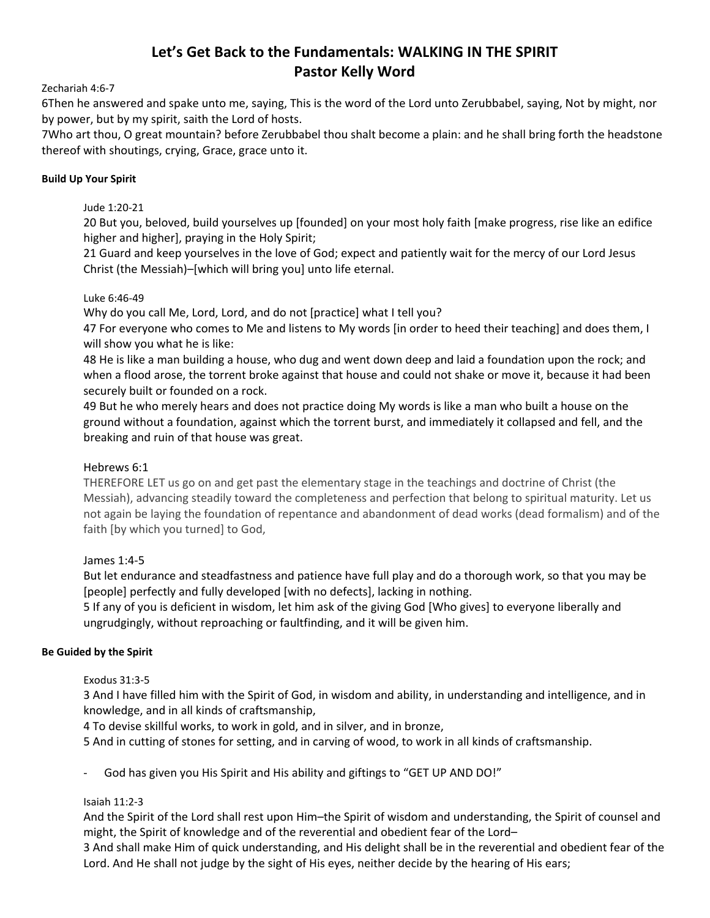# **Let's Get Back to the Fundamentals: WALKING IN THE SPIRIT Pastor Kelly Word**

## Zechariah 4:6‐7

6Then he answered and spake unto me, saying, This is the word of the Lord unto Zerubbabel, saying, Not by might, nor by power, but by my spirit, saith the Lord of hosts.

7Who art thou, O great mountain? before Zerubbabel thou shalt become a plain: and he shall bring forth the headstone thereof with shoutings, crying, Grace, grace unto it.

## **Build Up Your Spirit**

Jude 1:20‐21

20 But you, beloved, build yourselves up [founded] on your most holy faith [make progress, rise like an edifice higher and higher], praying in the Holy Spirit;

21 Guard and keep yourselves in the love of God; expect and patiently wait for the mercy of our Lord Jesus Christ (the Messiah)–[which will bring you] unto life eternal.

## Luke 6:46‐49

Why do you call Me, Lord, Lord, and do not [practice] what I tell you?

47 For everyone who comes to Me and listens to My words [in order to heed their teaching] and does them, I will show you what he is like:

48 He is like a man building a house, who dug and went down deep and laid a foundation upon the rock; and when a flood arose, the torrent broke against that house and could not shake or move it, because it had been securely built or founded on a rock.

49 But he who merely hears and does not practice doing My words is like a man who built a house on the ground without a foundation, against which the torrent burst, and immediately it collapsed and fell, and the breaking and ruin of that house was great.

# Hebrews 6:1

THEREFORE LET us go on and get past the elementary stage in the teachings and doctrine of Christ (the Messiah), advancing steadily toward the completeness and perfection that belong to spiritual maturity. Let us not again be laying the foundation of repentance and abandonment of dead works (dead formalism) and of the faith [by which you turned] to God,

# James 1:4‐5

But let endurance and steadfastness and patience have full play and do a thorough work, so that you may be [people] perfectly and fully developed [with no defects], lacking in nothing.

5 If any of you is deficient in wisdom, let him ask of the giving God [Who gives] to everyone liberally and ungrudgingly, without reproaching or faultfinding, and it will be given him.

# **Be Guided by the Spirit**

# Exodus 31:3‐5

3 And I have filled him with the Spirit of God, in wisdom and ability, in understanding and intelligence, and in knowledge, and in all kinds of craftsmanship,

4 To devise skillful works, to work in gold, and in silver, and in bronze,

5 And in cutting of stones for setting, and in carving of wood, to work in all kinds of craftsmanship.

God has given you His Spirit and His ability and giftings to "GET UP AND DO!"

# Isaiah 11:2‐3

And the Spirit of the Lord shall rest upon Him–the Spirit of wisdom and understanding, the Spirit of counsel and might, the Spirit of knowledge and of the reverential and obedient fear of the Lord–

3 And shall make Him of quick understanding, and His delight shall be in the reverential and obedient fear of the Lord. And He shall not judge by the sight of His eyes, neither decide by the hearing of His ears;